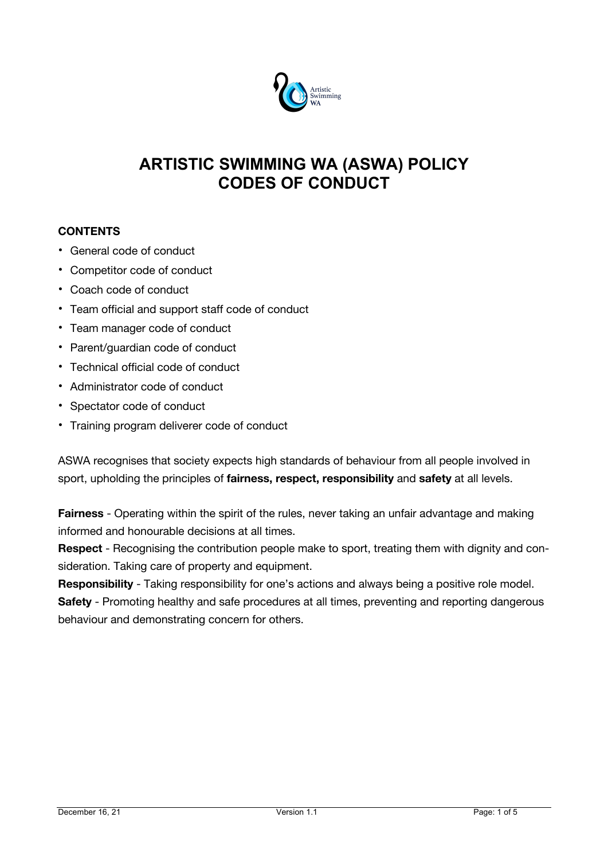

# **ARTISTIC SWIMMING WA (ASWA) POLICY CODES OF CONDUCT**

## **CONTENTS**

- General code of conduct
- Competitor code of conduct
- Coach code of conduct
- Team official and support staff code of conduct
- Team manager code of conduct
- Parent/guardian code of conduct
- Technical official code of conduct
- Administrator code of conduct
- Spectator code of conduct
- Training program deliverer code of conduct

ASWA recognises that society expects high standards of behaviour from all people involved in sport, upholding the principles of **fairness, respect, responsibility** and **safety** at all levels.

**Fairness** - Operating within the spirit of the rules, never taking an unfair advantage and making informed and honourable decisions at all times.

**Respect** - Recognising the contribution people make to sport, treating them with dignity and consideration. Taking care of property and equipment.

**Responsibility** - Taking responsibility for one's actions and always being a positive role model. **Safety** - Promoting healthy and safe procedures at all times, preventing and reporting dangerous behaviour and demonstrating concern for others.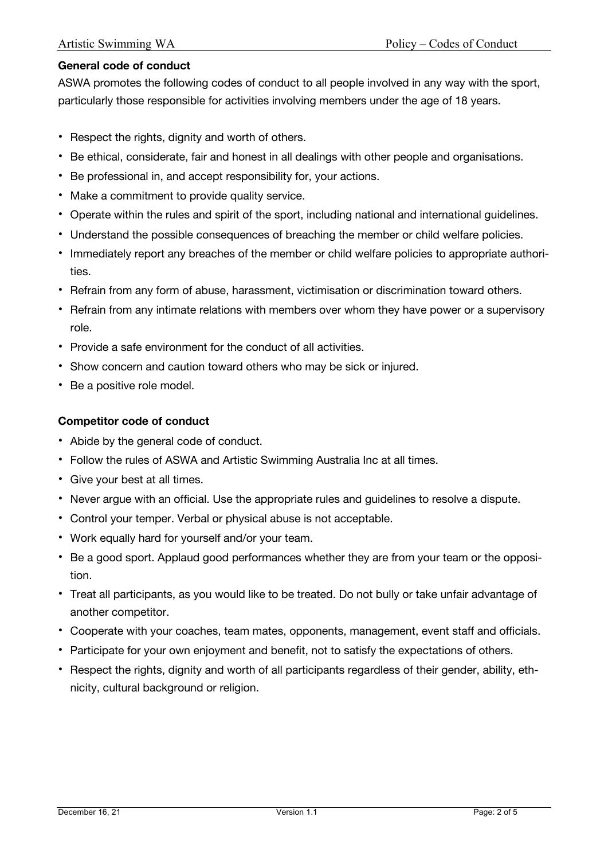#### **General code of conduct**

ASWA promotes the following codes of conduct to all people involved in any way with the sport, particularly those responsible for activities involving members under the age of 18 years.

- Respect the rights, dignity and worth of others.
- Be ethical, considerate, fair and honest in all dealings with other people and organisations.
- Be professional in, and accept responsibility for, your actions.
- Make a commitment to provide quality service.
- Operate within the rules and spirit of the sport, including national and international guidelines.
- Understand the possible consequences of breaching the member or child welfare policies.
- Immediately report any breaches of the member or child welfare policies to appropriate authorities.
- Refrain from any form of abuse, harassment, victimisation or discrimination toward others.
- Refrain from any intimate relations with members over whom they have power or a supervisory role.
- Provide a safe environment for the conduct of all activities.
- Show concern and caution toward others who may be sick or injured.
- Be a positive role model.

### **Competitor code of conduct**

- Abide by the general code of conduct.
- Follow the rules of ASWA and Artistic Swimming Australia Inc at all times.
- Give your best at all times.
- Never argue with an official. Use the appropriate rules and guidelines to resolve a dispute.
- Control your temper. Verbal or physical abuse is not acceptable.
- Work equally hard for yourself and/or your team.
- Be a good sport. Applaud good performances whether they are from your team or the opposition.
- Treat all participants, as you would like to be treated. Do not bully or take unfair advantage of another competitor.
- Cooperate with your coaches, team mates, opponents, management, event staff and officials.
- Participate for your own enjoyment and benefit, not to satisfy the expectations of others.
- Respect the rights, dignity and worth of all participants regardless of their gender, ability, ethnicity, cultural background or religion.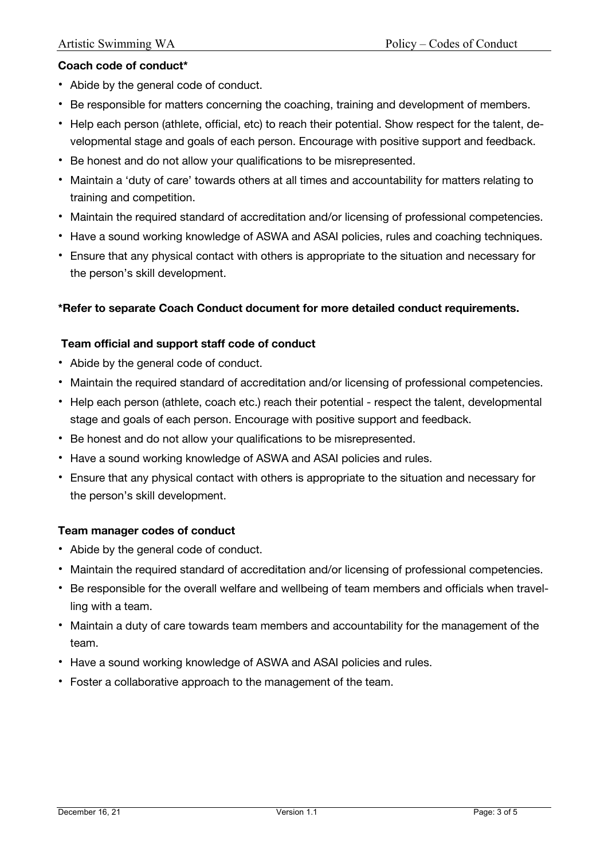## **Coach code of conduct\***

- Abide by the general code of conduct.
- Be responsible for matters concerning the coaching, training and development of members.
- Help each person (athlete, official, etc) to reach their potential. Show respect for the talent, developmental stage and goals of each person. Encourage with positive support and feedback.
- Be honest and do not allow your qualifications to be misrepresented.
- Maintain a 'duty of care' towards others at all times and accountability for matters relating to training and competition.
- Maintain the required standard of accreditation and/or licensing of professional competencies.
- Have a sound working knowledge of ASWA and ASAI policies, rules and coaching techniques.
- Ensure that any physical contact with others is appropriate to the situation and necessary for the person's skill development.

## **\*Refer to separate Coach Conduct document for more detailed conduct requirements.**

## **Team official and support staff code of conduct**

- Abide by the general code of conduct.
- Maintain the required standard of accreditation and/or licensing of professional competencies.
- Help each person (athlete, coach etc.) reach their potential respect the talent, developmental stage and goals of each person. Encourage with positive support and feedback.
- Be honest and do not allow your qualifications to be misrepresented.
- Have a sound working knowledge of ASWA and ASAI policies and rules.
- Ensure that any physical contact with others is appropriate to the situation and necessary for the person's skill development.

### **Team manager codes of conduct**

- Abide by the general code of conduct.
- Maintain the required standard of accreditation and/or licensing of professional competencies.
- Be responsible for the overall welfare and wellbeing of team members and officials when travelling with a team.
- Maintain a duty of care towards team members and accountability for the management of the team.
- Have a sound working knowledge of ASWA and ASAI policies and rules.
- Foster a collaborative approach to the management of the team.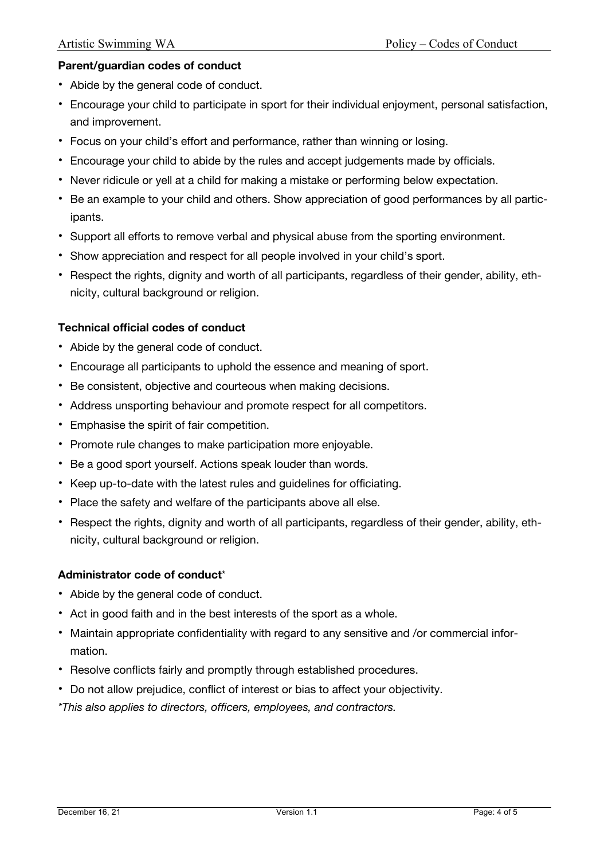### **Parent/guardian codes of conduct**

- Abide by the general code of conduct.
- Encourage your child to participate in sport for their individual enjoyment, personal satisfaction, and improvement.
- Focus on your child's effort and performance, rather than winning or losing.
- Encourage your child to abide by the rules and accept judgements made by officials.
- Never ridicule or yell at a child for making a mistake or performing below expectation.
- Be an example to your child and others. Show appreciation of good performances by all participants.
- Support all efforts to remove verbal and physical abuse from the sporting environment.
- Show appreciation and respect for all people involved in your child's sport.
- Respect the rights, dignity and worth of all participants, regardless of their gender, ability, ethnicity, cultural background or religion.

## **Technical official codes of conduct**

- Abide by the general code of conduct.
- Encourage all participants to uphold the essence and meaning of sport.
- Be consistent, objective and courteous when making decisions.
- Address unsporting behaviour and promote respect for all competitors.
- Emphasise the spirit of fair competition.
- Promote rule changes to make participation more enjoyable.
- Be a good sport yourself. Actions speak louder than words.
- Keep up-to-date with the latest rules and guidelines for officiating.
- Place the safety and welfare of the participants above all else.
- Respect the rights, dignity and worth of all participants, regardless of their gender, ability, ethnicity, cultural background or religion.

### **Administrator code of conduct**\*

- Abide by the general code of conduct.
- Act in good faith and in the best interests of the sport as a whole.
- Maintain appropriate confidentiality with regard to any sensitive and /or commercial information.
- Resolve conflicts fairly and promptly through established procedures.
- Do not allow prejudice, conflict of interest or bias to affect your objectivity.

*\*This also applies to directors, officers, employees, and contractors.*